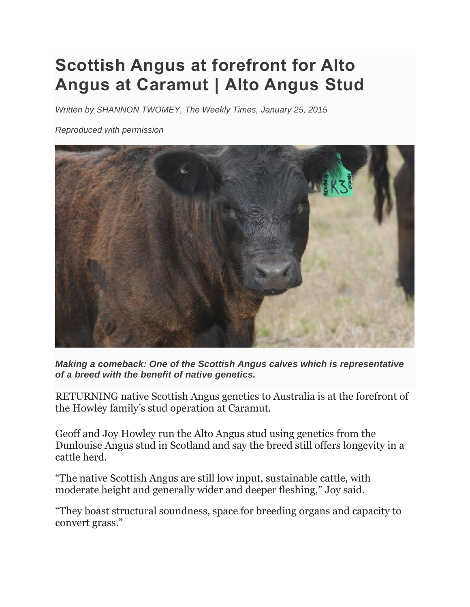## **Scottish Angus at forefront for Alto Angus at Caramut | Alto Angus Stud**

*Written by SHANNON TWOMEY, The Weekly Times, January 25, 2015*

*Reproduced with permission*



*Making a comeback: One of the Scottish Angus calves which is representative of a breed with the benefit of native genetics.*

RETURNING native Scottish Angus genetics to Australia is at the forefront of the Howley family's stud operation at Caramut.

Geoff and Joy Howley run the Alto Angus stud using genetics from the Dunlouise Angus stud in Scotland and say the breed still offers longevity in a cattle herd.

"The native Scottish Angus are still low input, sustainable cattle, with moderate height and generally wider and deeper fleshing," Joy said.

"They boast structural soundness, space for breeding organs and capacity to convert grass."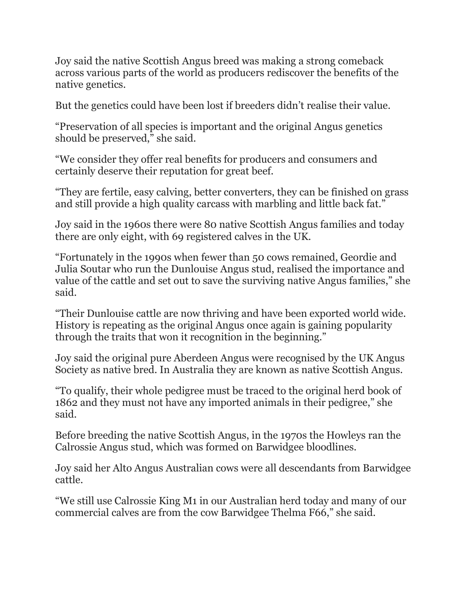Joy said the native Scottish Angus breed was making a strong comeback across various parts of the world as producers rediscover the benefits of the native genetics.

But the genetics could have been lost if breeders didn't realise their value.

"Preservation of all species is important and the original Angus genetics should be preserved," she said.

"We consider they offer real benefits for producers and consumers and certainly deserve their reputation for great beef.

"They are fertile, easy calving, better converters, they can be finished on grass and still provide a high quality carcass with marbling and little back fat."

Joy said in the 1960s there were 80 native Scottish Angus families and today there are only eight, with 69 registered calves in the UK.

"Fortunately in the 1990s when fewer than 50 cows remained, Geordie and Julia Soutar who run the Dunlouise Angus stud, realised the importance and value of the cattle and set out to save the surviving native Angus families," she said.

"Their Dunlouise cattle are now thriving and have been exported world wide. History is repeating as the original Angus once again is gaining popularity through the traits that won it recognition in the beginning."

Joy said the original pure Aberdeen Angus were recognised by the UK Angus Society as native bred. In Australia they are known as native Scottish Angus.

"To qualify, their whole pedigree must be traced to the original herd book of 1862 and they must not have any imported animals in their pedigree," she said.

Before breeding the native Scottish Angus, in the 1970s the Howleys ran the Calrossie Angus stud, which was formed on Barwidgee bloodlines.

Joy said her Alto Angus Australian cows were all descendants from Barwidgee cattle.

"We still use Calrossie King M1 in our Australian herd today and many of our commercial calves are from the cow Barwidgee Thelma F66," she said.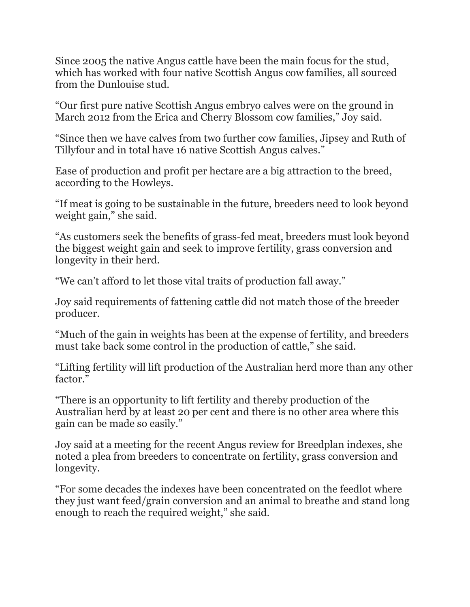Since 2005 the native Angus cattle have been the main focus for the stud, which has worked with four native Scottish Angus cow families, all sourced from the Dunlouise stud.

"Our first pure native Scottish Angus embryo calves were on the ground in March 2012 from the Erica and Cherry Blossom cow families," Joy said.

"Since then we have calves from two further cow families, Jipsey and Ruth of Tillyfour and in total have 16 native Scottish Angus calves."

Ease of production and profit per hectare are a big attraction to the breed, according to the Howleys.

"If meat is going to be sustainable in the future, breeders need to look beyond weight gain," she said.

"As customers seek the benefits of grass-fed meat, breeders must look beyond the biggest weight gain and seek to improve fertility, grass conversion and longevity in their herd.

"We can't afford to let those vital traits of production fall away."

Joy said requirements of fattening cattle did not match those of the breeder producer.

"Much of the gain in weights has been at the expense of fertility, and breeders must take back some control in the production of cattle," she said.

"Lifting fertility will lift production of the Australian herd more than any other factor."

"There is an opportunity to lift fertility and thereby production of the Australian herd by at least 20 per cent and there is no other area where this gain can be made so easily."

Joy said at a meeting for the recent Angus review for Breedplan indexes, she noted a plea from breeders to concentrate on fertility, grass conversion and longevity.

"For some decades the indexes have been concentrated on the feedlot where they just want feed/grain conversion and an animal to breathe and stand long enough to reach the required weight," she said.